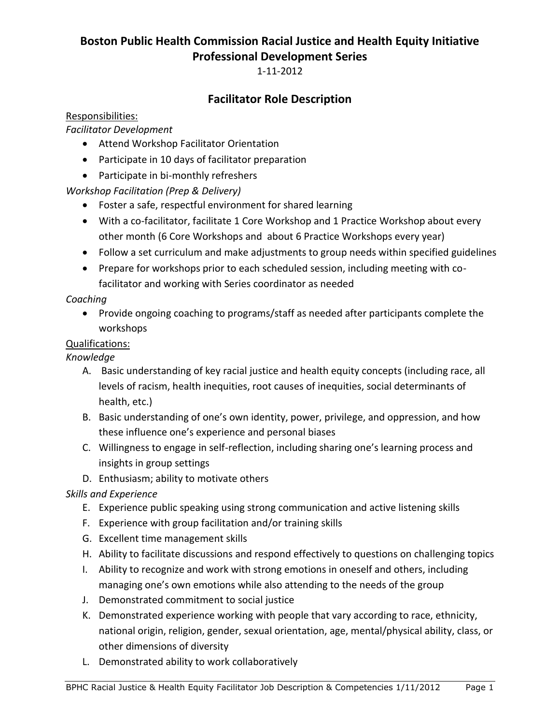# **Boston Public Health Commission Racial Justice and Health Equity Initiative Professional Development Series**

1-11-2012

# **Facilitator Role Description**

### Responsibilities:

### *Facilitator Development*

- Attend Workshop Facilitator Orientation
- Participate in 10 days of facilitator preparation
- Participate in bi-monthly refreshers

# *Workshop Facilitation (Prep & Delivery)*

- Foster a safe, respectful environment for shared learning
- With a co-facilitator, facilitate 1 Core Workshop and 1 Practice Workshop about every other month (6 Core Workshops and about 6 Practice Workshops every year)
- Follow a set curriculum and make adjustments to group needs within specified guidelines
- Prepare for workshops prior to each scheduled session, including meeting with cofacilitator and working with Series coordinator as needed

## *Coaching*

• Provide ongoing coaching to programs/staff as needed after participants complete the workshops

## Qualifications:

## *Knowledge*

- A. Basic understanding of key racial justice and health equity concepts (including race, all levels of racism, health inequities, root causes of inequities, social determinants of health, etc.)
- B. Basic understanding of one's own identity, power, privilege, and oppression, and how these influence one's experience and personal biases
- C. Willingness to engage in self-reflection, including sharing one's learning process and insights in group settings
- D. Enthusiasm; ability to motivate others

# *Skills and Experience*

- E. Experience public speaking using strong communication and active listening skills
- F. Experience with group facilitation and/or training skills
- G. Excellent time management skills
- H. Ability to facilitate discussions and respond effectively to questions on challenging topics
- I. Ability to recognize and work with strong emotions in oneself and others, including managing one's own emotions while also attending to the needs of the group
- J. Demonstrated commitment to social justice
- K. Demonstrated experience working with people that vary according to race, ethnicity, national origin, religion, gender, sexual orientation, age, mental/physical ability, class, or other dimensions of diversity
- L. Demonstrated ability to work collaboratively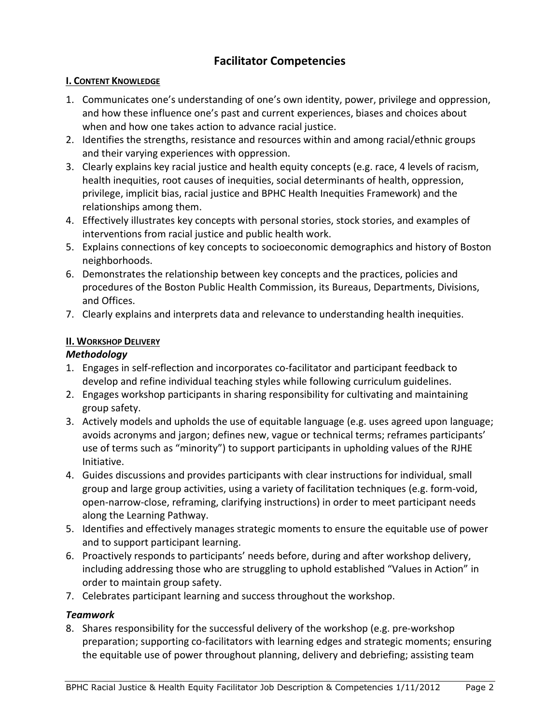# **Facilitator Competencies**

#### **I. CONTENT KNOWLEDGE**

- 1. Communicates one's understanding of one's own identity, power, privilege and oppression, and how these influence one's past and current experiences, biases and choices about when and how one takes action to advance racial justice.
- 2. Identifies the strengths, resistance and resources within and among racial/ethnic groups and their varying experiences with oppression.
- 3. Clearly explains key racial justice and health equity concepts (e.g. race, 4 levels of racism, health inequities, root causes of inequities, social determinants of health, oppression, privilege, implicit bias, racial justice and BPHC Health Inequities Framework) and the relationships among them.
- 4. Effectively illustrates key concepts with personal stories, stock stories, and examples of interventions from racial justice and public health work.
- 5. Explains connections of key concepts to socioeconomic demographics and history of Boston neighborhoods.
- 6. Demonstrates the relationship between key concepts and the practices, policies and procedures of the Boston Public Health Commission, its Bureaus, Departments, Divisions, and Offices.
- 7. Clearly explains and interprets data and relevance to understanding health inequities.

### **II. WORKSHOP DELIVERY**

### *Methodology*

- 1. Engages in self-reflection and incorporates co-facilitator and participant feedback to develop and refine individual teaching styles while following curriculum guidelines.
- 2. Engages workshop participants in sharing responsibility for cultivating and maintaining group safety.
- 3. Actively models and upholds the use of equitable language (e.g. uses agreed upon language; avoids acronyms and jargon; defines new, vague or technical terms; reframes participants' use of terms such as "minority") to support participants in upholding values of the RJHE Initiative.
- 4. Guides discussions and provides participants with clear instructions for individual, small group and large group activities, using a variety of facilitation techniques (e.g. form-void, open-narrow-close, reframing, clarifying instructions) in order to meet participant needs along the Learning Pathway.
- 5. Identifies and effectively manages strategic moments to ensure the equitable use of power and to support participant learning.
- 6. Proactively responds to participants' needs before, during and after workshop delivery, including addressing those who are struggling to uphold established "Values in Action" in order to maintain group safety.
- 7. Celebrates participant learning and success throughout the workshop.

### *Teamwork*

8. Shares responsibility for the successful delivery of the workshop (e.g. pre-workshop preparation; supporting co-facilitators with learning edges and strategic moments; ensuring the equitable use of power throughout planning, delivery and debriefing; assisting team